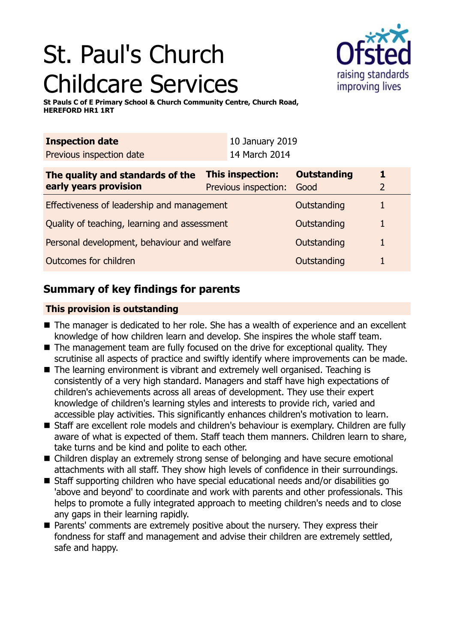# St. Paul's Church Childcare Services



**St Pauls C of E Primary School & Church Community Centre, Church Road, HEREFORD HR1 1RT**

| <b>Inspection date</b>                                    |                                          | 10 January 2019 |                            |  |
|-----------------------------------------------------------|------------------------------------------|-----------------|----------------------------|--|
| Previous inspection date                                  |                                          | 14 March 2014   |                            |  |
| The quality and standards of the<br>early years provision | This inspection:<br>Previous inspection: |                 | <b>Outstanding</b><br>Good |  |
| Effectiveness of leadership and management                |                                          |                 | Outstanding                |  |
| Quality of teaching, learning and assessment              |                                          |                 | Outstanding                |  |
| Personal development, behaviour and welfare               |                                          |                 | Outstanding                |  |
| Outcomes for children                                     |                                          |                 | Outstanding                |  |

## **Summary of key findings for parents**

## **This provision is outstanding**

- The manager is dedicated to her role. She has a wealth of experience and an excellent knowledge of how children learn and develop. She inspires the whole staff team.
- $\blacksquare$  The management team are fully focused on the drive for exceptional quality. They scrutinise all aspects of practice and swiftly identify where improvements can be made.
- $\blacksquare$  The learning environment is vibrant and extremely well organised. Teaching is consistently of a very high standard. Managers and staff have high expectations of children's achievements across all areas of development. They use their expert knowledge of children's learning styles and interests to provide rich, varied and accessible play activities. This significantly enhances children's motivation to learn.
- Staff are excellent role models and children's behaviour is exemplary. Children are fully aware of what is expected of them. Staff teach them manners. Children learn to share, take turns and be kind and polite to each other.
- Children display an extremely strong sense of belonging and have secure emotional attachments with all staff. They show high levels of confidence in their surroundings.
- Staff supporting children who have special educational needs and/or disabilities go 'above and beyond' to coordinate and work with parents and other professionals. This helps to promote a fully integrated approach to meeting children's needs and to close any gaps in their learning rapidly.
- Parents' comments are extremely positive about the nursery. They express their fondness for staff and management and advise their children are extremely settled, safe and happy.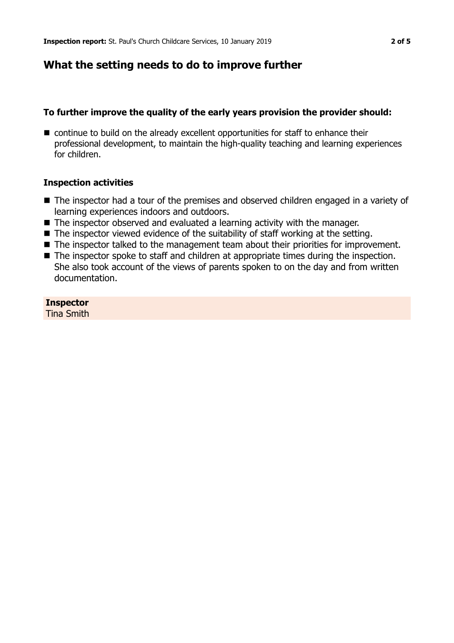## **What the setting needs to do to improve further**

## **To further improve the quality of the early years provision the provider should:**

 $\blacksquare$  continue to build on the already excellent opportunities for staff to enhance their professional development, to maintain the high-quality teaching and learning experiences for children.

#### **Inspection activities**

- The inspector had a tour of the premises and observed children engaged in a variety of learning experiences indoors and outdoors.
- $\blacksquare$  The inspector observed and evaluated a learning activity with the manager.
- $\blacksquare$  The inspector viewed evidence of the suitability of staff working at the setting.
- The inspector talked to the management team about their priorities for improvement.
- $\blacksquare$  The inspector spoke to staff and children at appropriate times during the inspection. She also took account of the views of parents spoken to on the day and from written documentation.

**Inspector** Tina Smith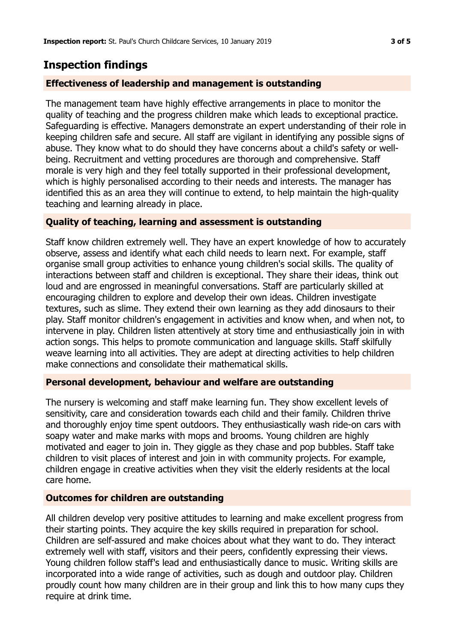# **Inspection findings**

## **Effectiveness of leadership and management is outstanding**

The management team have highly effective arrangements in place to monitor the quality of teaching and the progress children make which leads to exceptional practice. Safeguarding is effective. Managers demonstrate an expert understanding of their role in keeping children safe and secure. All staff are vigilant in identifying any possible signs of abuse. They know what to do should they have concerns about a child's safety or wellbeing. Recruitment and vetting procedures are thorough and comprehensive. Staff morale is very high and they feel totally supported in their professional development, which is highly personalised according to their needs and interests. The manager has identified this as an area they will continue to extend, to help maintain the high-quality teaching and learning already in place.

## **Quality of teaching, learning and assessment is outstanding**

Staff know children extremely well. They have an expert knowledge of how to accurately observe, assess and identify what each child needs to learn next. For example, staff organise small group activities to enhance young children's social skills. The quality of interactions between staff and children is exceptional. They share their ideas, think out loud and are engrossed in meaningful conversations. Staff are particularly skilled at encouraging children to explore and develop their own ideas. Children investigate textures, such as slime. They extend their own learning as they add dinosaurs to their play. Staff monitor children's engagement in activities and know when, and when not, to intervene in play. Children listen attentively at story time and enthusiastically join in with action songs. This helps to promote communication and language skills. Staff skilfully weave learning into all activities. They are adept at directing activities to help children make connections and consolidate their mathematical skills.

## **Personal development, behaviour and welfare are outstanding**

The nursery is welcoming and staff make learning fun. They show excellent levels of sensitivity, care and consideration towards each child and their family. Children thrive and thoroughly enjoy time spent outdoors. They enthusiastically wash ride-on cars with soapy water and make marks with mops and brooms. Young children are highly motivated and eager to join in. They giggle as they chase and pop bubbles. Staff take children to visit places of interest and join in with community projects. For example, children engage in creative activities when they visit the elderly residents at the local care home.

## **Outcomes for children are outstanding**

All children develop very positive attitudes to learning and make excellent progress from their starting points. They acquire the key skills required in preparation for school. Children are self-assured and make choices about what they want to do. They interact extremely well with staff, visitors and their peers, confidently expressing their views. Young children follow staff's lead and enthusiastically dance to music. Writing skills are incorporated into a wide range of activities, such as dough and outdoor play. Children proudly count how many children are in their group and link this to how many cups they require at drink time.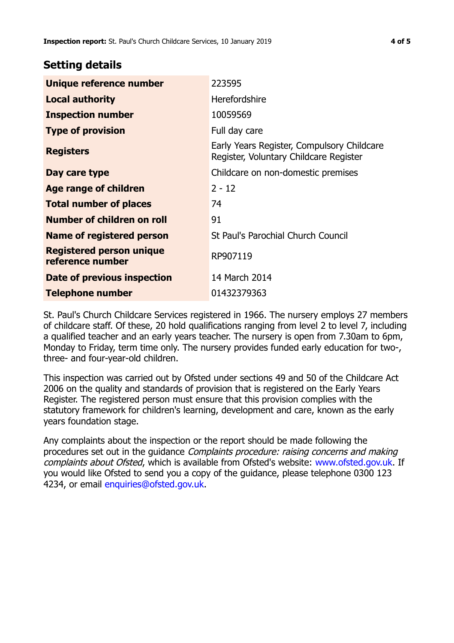## **Setting details**

| <b>Unique reference number</b>                      | 223595                                                                               |
|-----------------------------------------------------|--------------------------------------------------------------------------------------|
| <b>Local authority</b>                              | Herefordshire                                                                        |
| <b>Inspection number</b>                            | 10059569                                                                             |
| <b>Type of provision</b>                            | Full day care                                                                        |
| <b>Registers</b>                                    | Early Years Register, Compulsory Childcare<br>Register, Voluntary Childcare Register |
| Day care type                                       | Childcare on non-domestic premises                                                   |
| Age range of children                               | $2 - 12$                                                                             |
| <b>Total number of places</b>                       | 74                                                                                   |
| Number of children on roll                          | 91                                                                                   |
| Name of registered person                           | St Paul's Parochial Church Council                                                   |
| <b>Registered person unique</b><br>reference number | RP907119                                                                             |
| Date of previous inspection                         | 14 March 2014                                                                        |
| <b>Telephone number</b>                             | 01432379363                                                                          |

St. Paul's Church Childcare Services registered in 1966. The nursery employs 27 members of childcare staff. Of these, 20 hold qualifications ranging from level 2 to level 7, including a qualified teacher and an early years teacher. The nursery is open from 7.30am to 6pm, Monday to Friday, term time only. The nursery provides funded early education for two-, three- and four-year-old children.

This inspection was carried out by Ofsted under sections 49 and 50 of the Childcare Act 2006 on the quality and standards of provision that is registered on the Early Years Register. The registered person must ensure that this provision complies with the statutory framework for children's learning, development and care, known as the early years foundation stage.

Any complaints about the inspection or the report should be made following the procedures set out in the guidance Complaints procedure: raising concerns and making complaints about Ofsted, which is available from Ofsted's website: www.ofsted.gov.uk. If you would like Ofsted to send you a copy of the guidance, please telephone 0300 123 4234, or email [enquiries@ofsted.gov.uk.](mailto:enquiries@ofsted.gov.uk)